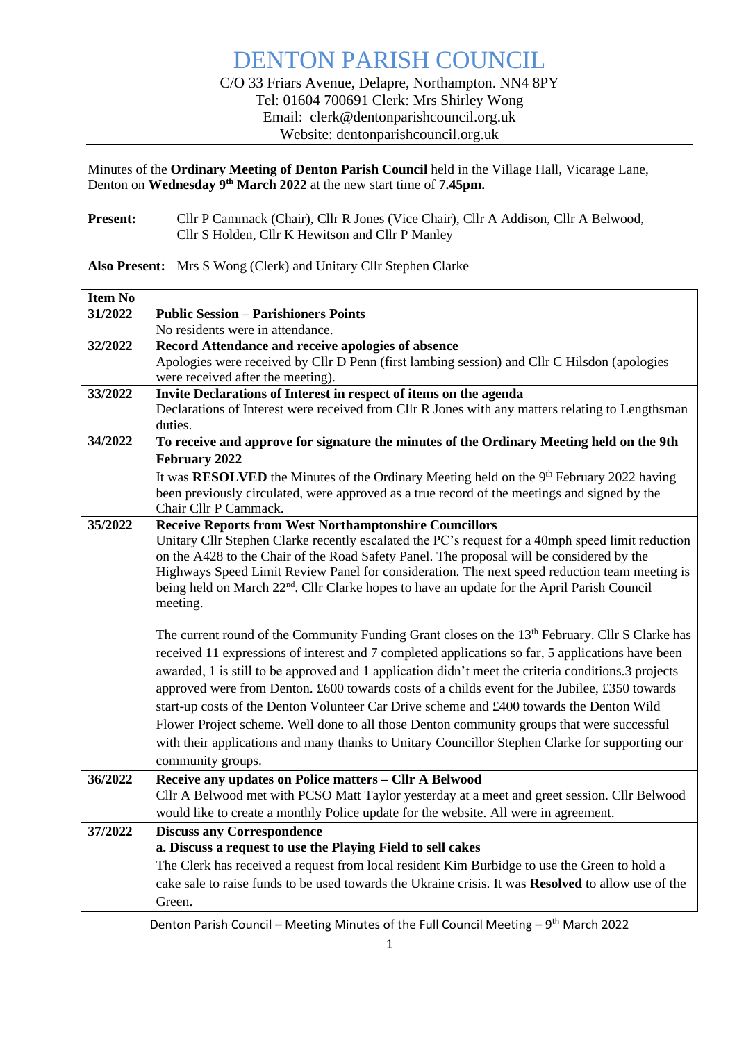Minutes of the **Ordinary Meeting of Denton Parish Council** held in the Village Hall, Vicarage Lane, Denton on **Wednesday 9 th March 2022** at the new start time of **7.45pm.**

Present: Cllr P Cammack (Chair), Cllr R Jones (Vice Chair), Cllr A Addison, Cllr A Belwood, Cllr S Holden, Cllr K Hewitson and Cllr P Manley

**Also Present:** Mrs S Wong (Clerk) and Unitary Cllr Stephen Clarke

| <b>Item No</b> |                                                                                                                                                                                                          |  |  |  |  |  |
|----------------|----------------------------------------------------------------------------------------------------------------------------------------------------------------------------------------------------------|--|--|--|--|--|
| 31/2022        | <b>Public Session - Parishioners Points</b>                                                                                                                                                              |  |  |  |  |  |
|                | No residents were in attendance.                                                                                                                                                                         |  |  |  |  |  |
| 32/2022        | Record Attendance and receive apologies of absence                                                                                                                                                       |  |  |  |  |  |
|                | Apologies were received by Cllr D Penn (first lambing session) and Cllr C Hilsdon (apologies                                                                                                             |  |  |  |  |  |
|                | were received after the meeting).                                                                                                                                                                        |  |  |  |  |  |
| 33/2022        | Invite Declarations of Interest in respect of items on the agenda                                                                                                                                        |  |  |  |  |  |
|                | Declarations of Interest were received from Cllr R Jones with any matters relating to Lengthsman                                                                                                         |  |  |  |  |  |
|                | duties.                                                                                                                                                                                                  |  |  |  |  |  |
| 34/2022        | To receive and approve for signature the minutes of the Ordinary Meeting held on the 9th                                                                                                                 |  |  |  |  |  |
|                | February 2022                                                                                                                                                                                            |  |  |  |  |  |
|                | It was RESOLVED the Minutes of the Ordinary Meeting held on the 9 <sup>th</sup> February 2022 having                                                                                                     |  |  |  |  |  |
|                | been previously circulated, were approved as a true record of the meetings and signed by the                                                                                                             |  |  |  |  |  |
|                | Chair Cllr P Cammack.                                                                                                                                                                                    |  |  |  |  |  |
| 35/2022        | <b>Receive Reports from West Northamptonshire Councillors</b>                                                                                                                                            |  |  |  |  |  |
|                | Unitary Cllr Stephen Clarke recently escalated the PC's request for a 40mph speed limit reduction                                                                                                        |  |  |  |  |  |
|                | on the A428 to the Chair of the Road Safety Panel. The proposal will be considered by the                                                                                                                |  |  |  |  |  |
|                | Highways Speed Limit Review Panel for consideration. The next speed reduction team meeting is<br>being held on March 22 <sup>nd</sup> . Cllr Clarke hopes to have an update for the April Parish Council |  |  |  |  |  |
|                | meeting.                                                                                                                                                                                                 |  |  |  |  |  |
|                |                                                                                                                                                                                                          |  |  |  |  |  |
|                | The current round of the Community Funding Grant closes on the 13 <sup>th</sup> February. Cllr S Clarke has                                                                                              |  |  |  |  |  |
|                | received 11 expressions of interest and 7 completed applications so far, 5 applications have been                                                                                                        |  |  |  |  |  |
|                | awarded, 1 is still to be approved and 1 application didn't meet the criteria conditions.3 projects                                                                                                      |  |  |  |  |  |
|                | approved were from Denton. £600 towards costs of a childs event for the Jubilee, £350 towards                                                                                                            |  |  |  |  |  |
|                | start-up costs of the Denton Volunteer Car Drive scheme and £400 towards the Denton Wild                                                                                                                 |  |  |  |  |  |
|                | Flower Project scheme. Well done to all those Denton community groups that were successful                                                                                                               |  |  |  |  |  |
|                | with their applications and many thanks to Unitary Councillor Stephen Clarke for supporting our                                                                                                          |  |  |  |  |  |
|                | community groups.                                                                                                                                                                                        |  |  |  |  |  |
| 36/2022        |                                                                                                                                                                                                          |  |  |  |  |  |
|                | Receive any updates on Police matters - Cllr A Belwood                                                                                                                                                   |  |  |  |  |  |
|                | Cllr A Belwood met with PCSO Matt Taylor yesterday at a meet and greet session. Cllr Belwood                                                                                                             |  |  |  |  |  |
|                | would like to create a monthly Police update for the website. All were in agreement.                                                                                                                     |  |  |  |  |  |
| 37/2022        | <b>Discuss any Correspondence</b>                                                                                                                                                                        |  |  |  |  |  |
|                | a. Discuss a request to use the Playing Field to sell cakes                                                                                                                                              |  |  |  |  |  |
|                | The Clerk has received a request from local resident Kim Burbidge to use the Green to hold a                                                                                                             |  |  |  |  |  |
|                | cake sale to raise funds to be used towards the Ukraine crisis. It was <b>Resolved</b> to allow use of the                                                                                               |  |  |  |  |  |
|                | Green.                                                                                                                                                                                                   |  |  |  |  |  |

Denton Parish Council – Meeting Minutes of the Full Council Meeting –  $9<sup>th</sup>$  March 2022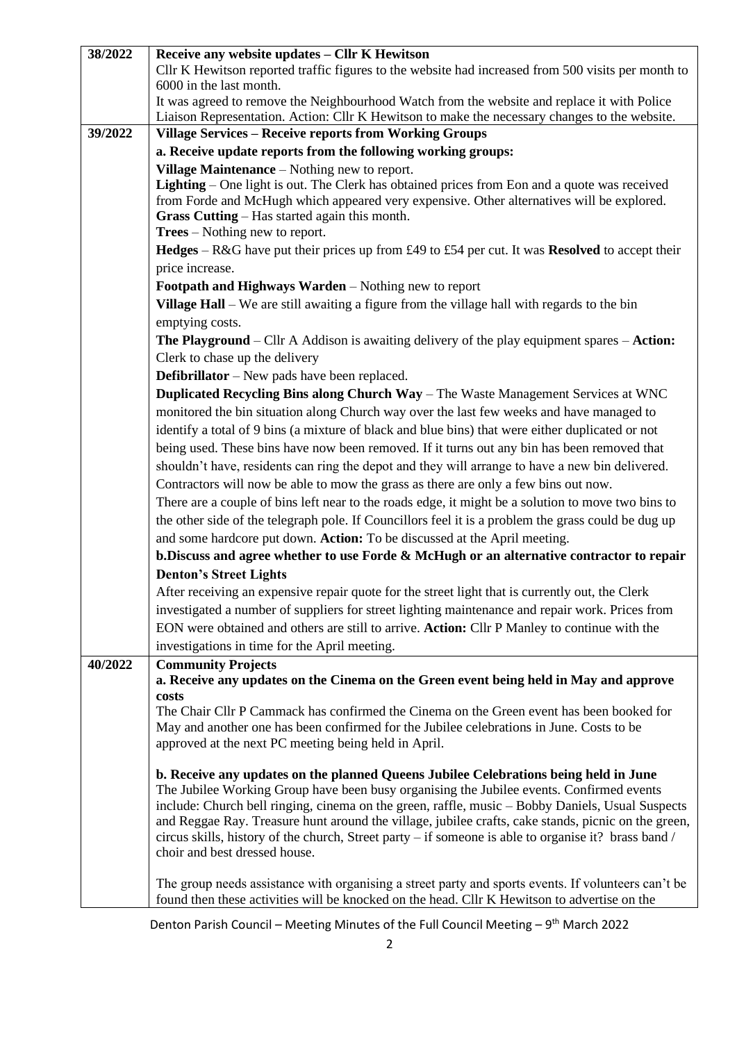| 38/2022 | Receive any website updates - Cllr K Hewitson                                                                                                                                                |  |  |  |  |  |  |
|---------|----------------------------------------------------------------------------------------------------------------------------------------------------------------------------------------------|--|--|--|--|--|--|
|         | Cllr K Hewitson reported traffic figures to the website had increased from 500 visits per month to                                                                                           |  |  |  |  |  |  |
|         | 6000 in the last month.                                                                                                                                                                      |  |  |  |  |  |  |
|         | It was agreed to remove the Neighbourhood Watch from the website and replace it with Police<br>Liaison Representation. Action: Cllr K Hewitson to make the necessary changes to the website. |  |  |  |  |  |  |
| 39/2022 | <b>Village Services - Receive reports from Working Groups</b>                                                                                                                                |  |  |  |  |  |  |
|         |                                                                                                                                                                                              |  |  |  |  |  |  |
|         | a. Receive update reports from the following working groups:                                                                                                                                 |  |  |  |  |  |  |
|         | Village Maintenance – Nothing new to report.                                                                                                                                                 |  |  |  |  |  |  |
|         | <b>Lighting</b> – One light is out. The Clerk has obtained prices from Eon and a quote was received                                                                                          |  |  |  |  |  |  |
|         | from Forde and McHugh which appeared very expensive. Other alternatives will be explored.                                                                                                    |  |  |  |  |  |  |
|         | Grass Cutting - Has started again this month.<br>$Trees - Nothing new to report.$                                                                                                            |  |  |  |  |  |  |
|         | Hedges $-$ R&G have put their prices up from £49 to £54 per cut. It was Resolved to accept their                                                                                             |  |  |  |  |  |  |
|         |                                                                                                                                                                                              |  |  |  |  |  |  |
|         | price increase.                                                                                                                                                                              |  |  |  |  |  |  |
|         | Footpath and Highways Warden - Nothing new to report                                                                                                                                         |  |  |  |  |  |  |
|         | Village Hall – We are still awaiting a figure from the village hall with regards to the bin                                                                                                  |  |  |  |  |  |  |
|         | emptying costs.                                                                                                                                                                              |  |  |  |  |  |  |
|         | <b>The Playground</b> – Cllr A Addison is awaiting delivery of the play equipment spares – Action:                                                                                           |  |  |  |  |  |  |
|         | Clerk to chase up the delivery                                                                                                                                                               |  |  |  |  |  |  |
|         | <b>Defibrillator</b> – New pads have been replaced.                                                                                                                                          |  |  |  |  |  |  |
|         | Duplicated Recycling Bins along Church Way - The Waste Management Services at WNC                                                                                                            |  |  |  |  |  |  |
|         | monitored the bin situation along Church way over the last few weeks and have managed to                                                                                                     |  |  |  |  |  |  |
|         | identify a total of 9 bins (a mixture of black and blue bins) that were either duplicated or not                                                                                             |  |  |  |  |  |  |
|         | being used. These bins have now been removed. If it turns out any bin has been removed that                                                                                                  |  |  |  |  |  |  |
|         | shouldn't have, residents can ring the depot and they will arrange to have a new bin delivered.                                                                                              |  |  |  |  |  |  |
|         | Contractors will now be able to mow the grass as there are only a few bins out now.                                                                                                          |  |  |  |  |  |  |
|         |                                                                                                                                                                                              |  |  |  |  |  |  |
|         | There are a couple of bins left near to the roads edge, it might be a solution to move two bins to                                                                                           |  |  |  |  |  |  |
|         | the other side of the telegraph pole. If Councillors feel it is a problem the grass could be dug up                                                                                          |  |  |  |  |  |  |
|         | and some hardcore put down. Action: To be discussed at the April meeting.                                                                                                                    |  |  |  |  |  |  |
|         | b. Discuss and agree whether to use Forde & McHugh or an alternative contractor to repair                                                                                                    |  |  |  |  |  |  |
|         | <b>Denton's Street Lights</b>                                                                                                                                                                |  |  |  |  |  |  |
|         | After receiving an expensive repair quote for the street light that is currently out, the Clerk                                                                                              |  |  |  |  |  |  |
|         | investigated a number of suppliers for street lighting maintenance and repair work. Prices from                                                                                              |  |  |  |  |  |  |
|         | EON were obtained and others are still to arrive. Action: Cllr P Manley to continue with the                                                                                                 |  |  |  |  |  |  |
|         | investigations in time for the April meeting.                                                                                                                                                |  |  |  |  |  |  |
| 40/2022 | <b>Community Projects</b>                                                                                                                                                                    |  |  |  |  |  |  |
|         | a. Receive any updates on the Cinema on the Green event being held in May and approve                                                                                                        |  |  |  |  |  |  |
|         | costs                                                                                                                                                                                        |  |  |  |  |  |  |
|         | The Chair Cllr P Cammack has confirmed the Cinema on the Green event has been booked for                                                                                                     |  |  |  |  |  |  |
|         | May and another one has been confirmed for the Jubilee celebrations in June. Costs to be                                                                                                     |  |  |  |  |  |  |
|         | approved at the next PC meeting being held in April.                                                                                                                                         |  |  |  |  |  |  |
|         |                                                                                                                                                                                              |  |  |  |  |  |  |
|         | b. Receive any updates on the planned Queens Jubilee Celebrations being held in June<br>The Jubilee Working Group have been busy organising the Jubilee events. Confirmed events             |  |  |  |  |  |  |
|         | include: Church bell ringing, cinema on the green, raffle, music – Bobby Daniels, Usual Suspects                                                                                             |  |  |  |  |  |  |
|         | and Reggae Ray. Treasure hunt around the village, jubilee crafts, cake stands, picnic on the green,                                                                                          |  |  |  |  |  |  |
|         | circus skills, history of the church, Street party – if someone is able to organise it? brass band /                                                                                         |  |  |  |  |  |  |
|         | choir and best dressed house.                                                                                                                                                                |  |  |  |  |  |  |
|         |                                                                                                                                                                                              |  |  |  |  |  |  |
|         | The group needs assistance with organising a street party and sports events. If volunteers can't be                                                                                          |  |  |  |  |  |  |
|         | found then these activities will be knocked on the head. Cllr K Hewitson to advertise on the                                                                                                 |  |  |  |  |  |  |

Denton Parish Council – Meeting Minutes of the Full Council Meeting –  $9<sup>th</sup>$  March 2022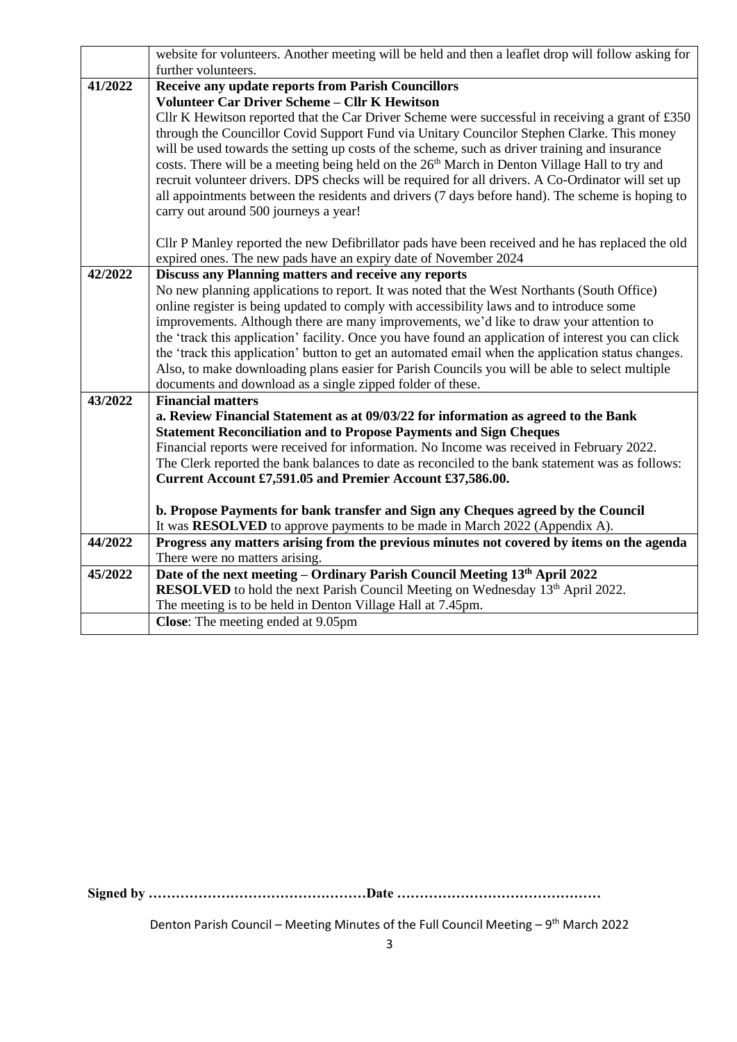|         | website for volunteers. Another meeting will be held and then a leaflet drop will follow asking for       |  |  |  |  |  |  |
|---------|-----------------------------------------------------------------------------------------------------------|--|--|--|--|--|--|
|         | further volunteers.                                                                                       |  |  |  |  |  |  |
| 41/2022 | <b>Receive any update reports from Parish Councillors</b>                                                 |  |  |  |  |  |  |
|         | <b>Volunteer Car Driver Scheme - Cllr K Hewitson</b>                                                      |  |  |  |  |  |  |
|         | Cllr K Hewitson reported that the Car Driver Scheme were successful in receiving a grant of £350          |  |  |  |  |  |  |
|         | through the Councillor Covid Support Fund via Unitary Councilor Stephen Clarke. This money                |  |  |  |  |  |  |
|         | will be used towards the setting up costs of the scheme, such as driver training and insurance            |  |  |  |  |  |  |
|         | costs. There will be a meeting being held on the 26 <sup>th</sup> March in Denton Village Hall to try and |  |  |  |  |  |  |
|         | recruit volunteer drivers. DPS checks will be required for all drivers. A Co-Ordinator will set up        |  |  |  |  |  |  |
|         | all appointments between the residents and drivers (7 days before hand). The scheme is hoping to          |  |  |  |  |  |  |
|         | carry out around 500 journeys a year!                                                                     |  |  |  |  |  |  |
|         | Cllr P Manley reported the new Defibrillator pads have been received and he has replaced the old          |  |  |  |  |  |  |
|         | expired ones. The new pads have an expiry date of November 2024                                           |  |  |  |  |  |  |
| 42/2022 | Discuss any Planning matters and receive any reports                                                      |  |  |  |  |  |  |
|         | No new planning applications to report. It was noted that the West Northants (South Office)               |  |  |  |  |  |  |
|         | online register is being updated to comply with accessibility laws and to introduce some                  |  |  |  |  |  |  |
|         | improvements. Although there are many improvements, we'd like to draw your attention to                   |  |  |  |  |  |  |
|         | the 'track this application' facility. Once you have found an application of interest you can click       |  |  |  |  |  |  |
|         | the 'track this application' button to get an automated email when the application status changes.        |  |  |  |  |  |  |
|         | Also, to make downloading plans easier for Parish Councils you will be able to select multiple            |  |  |  |  |  |  |
|         | documents and download as a single zipped folder of these.                                                |  |  |  |  |  |  |
| 43/2022 | <b>Financial matters</b>                                                                                  |  |  |  |  |  |  |
|         | a. Review Financial Statement as at 09/03/22 for information as agreed to the Bank                        |  |  |  |  |  |  |
|         | <b>Statement Reconciliation and to Propose Payments and Sign Cheques</b>                                  |  |  |  |  |  |  |
|         | Financial reports were received for information. No Income was received in February 2022.                 |  |  |  |  |  |  |
|         | The Clerk reported the bank balances to date as reconciled to the bank statement was as follows:          |  |  |  |  |  |  |
|         | Current Account £7,591.05 and Premier Account £37,586.00.                                                 |  |  |  |  |  |  |
|         | b. Propose Payments for bank transfer and Sign any Cheques agreed by the Council                          |  |  |  |  |  |  |
|         | It was RESOLVED to approve payments to be made in March 2022 (Appendix A).                                |  |  |  |  |  |  |
| 44/2022 | Progress any matters arising from the previous minutes not covered by items on the agenda                 |  |  |  |  |  |  |
|         | There were no matters arising.                                                                            |  |  |  |  |  |  |
| 45/2022 | Date of the next meeting - Ordinary Parish Council Meeting 13th April 2022                                |  |  |  |  |  |  |
|         | RESOLVED to hold the next Parish Council Meeting on Wednesday 13th April 2022.                            |  |  |  |  |  |  |
|         | The meeting is to be held in Denton Village Hall at 7.45pm.                                               |  |  |  |  |  |  |
|         | <b>Close:</b> The meeting ended at 9.05pm                                                                 |  |  |  |  |  |  |

**Signed by …………………………………………Date ………………………………………**

Denton Parish Council – Meeting Minutes of the Full Council Meeting –  $9<sup>th</sup>$  March 2022